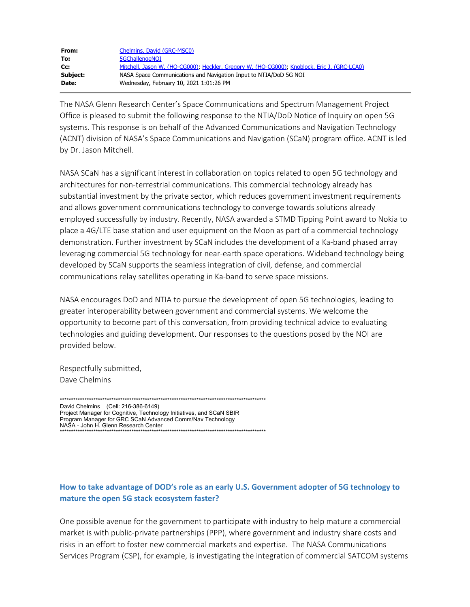| From:    | Chelmins, David (GRC-MSC0)                                                                  |
|----------|---------------------------------------------------------------------------------------------|
| To:      | 5GChallengeNOI                                                                              |
| Cc:      | Mitchell, Jason W. (HO-CG000); Heckler, Gregory W. (HO-CG000); Knoblock, Eric J. (GRC-LCA0) |
| Subject: | NASA Space Communications and Navigation Input to NTIA/DoD 5G NOI                           |
| Date:    | Wednesday, February 10, 2021 1:01:26 PM                                                     |

The NASA Glenn Research Center's Space Communications and Spectrum Management Project Office is pleased to submit the following response to the NTIA/DoD Notice of Inquiry on open 5G systems. This response is on behalf of the Advanced Communications and Navigation Technology (ACNT) division of NASA's Space Communications and Navigation (SCaN) program office. ACNT is led by Dr. Jason Mitchell.

NASA SCaN has a significant interest in collaboration on topics related to open 5G technology and architectures for non-terrestrial communications. This commercial technology already has substantial investment by the private sector, which reduces government investment requirements and allows government communications technology to converge towards solutions already employed successfully by industry. Recently, NASA awarded a STMD Tipping Point award to Nokia to place a 4G/LTE base station and user equipment on the Moon as part of a commercial technology demonstration. Further investment by SCaN includes the development of a Ka-band phased array leveraging commercial 5G technology for near-earth space operations. Wideband technology being developed by SCaN supports the seamless integration of civil, defense, and commercial communications relay satellites operating in Ka-band to serve space missions.

NASA encourages DoD and NTIA to pursue the development of open 5G technologies, leading to greater interoperability between government and commercial systems. We welcome the opportunity to become part of this conversation, from providing technical advice to evaluating technologies and guiding development. Our responses to the questions posed by the NOI are provided below.

Respectfully submitted, Dave Chelmins

David Chelmins (Cell: 216-386-6149) Project Manager for Cognitive, Technology Initiatives, and SCaN SBIR Program Manager for GRC SCaN Advanced Comm/Nav Technology 

# How to take advantage of DOD's role as an early U.S. Government adopter of 5G technology to mature the open 5G stack ecosystem faster?

One possible avenue for the government to participate with industry to help mature a commercial market is with public-private partnerships (PPP), where government and industry share costs and risks in an effort to foster new commercial markets and expertise. The NASA Communications Services Program (CSP), for example, is investigating the integration of commercial SATCOM systems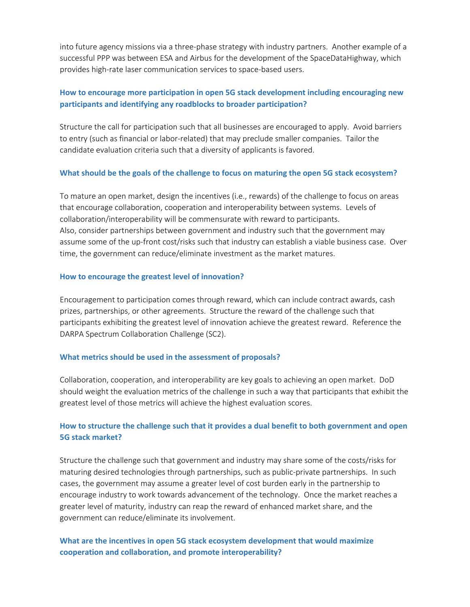into future agency missions via a three-phase strategy with industry partners. Another example of a successful PPP was between ESA and Airbus for the development of the SpaceDataHighway, which provides high-rate laser communication services to space-based users.

### **How to encourage more participation in open 5G stack development including encouraging new participants and identifying any roadblocks to broader participation?**

Structure the call for participation such that all businesses are encouraged to apply. Avoid barriers to entry (such as financial or labor-related) that may preclude smaller companies. Tailor the candidate evaluation criteria such that a diversity of applicants is favored.

#### **What should be the goals of the challenge to focus on maturing the open 5G stack ecosystem?**

To mature an open market, design the incentives (i.e., rewards) of the challenge to focus on areas that encourage collaboration, cooperation and interoperability between systems. Levels of collaboration/interoperability will be commensurate with reward to participants. Also, consider partnerships between government and industry such that the government may assume some of the up-front cost/risks such that industry can establish a viable business case. Over time, the government can reduce/eliminate investment as the market matures.

#### **How to encourage the greatest level of innovation?**

Encouragement to participation comes through reward, which can include contract awards, cash prizes, partnerships, or other agreements. Structure the reward of the challenge such that participants exhibiting the greatest level of innovation achieve the greatest reward. Reference the DARPA Spectrum Collaboration Challenge (SC2).

#### **What metrics should be used in the assessment of proposals?**

Collaboration, cooperation, and interoperability are key goals to achieving an open market. DoD should weight the evaluation metrics of the challenge in such a way that participants that exhibit the greatest level of those metrics will achieve the highest evaluation scores.

# **How to structure the challenge such that it provides a dual benefit to both government and open 5G stack market?**

Structure the challenge such that government and industry may share some of the costs/risks for maturing desired technologies through partnerships, such as public-private partnerships. In such cases, the government may assume a greater level of cost burden early in the partnership to encourage industry to work towards advancement of the technology. Once the market reaches a greater level of maturity, industry can reap the reward of enhanced market share, and the government can reduce/eliminate its involvement.

# **What are the incentives in open 5G stack ecosystem development that would maximize cooperation and collaboration, and promote interoperability?**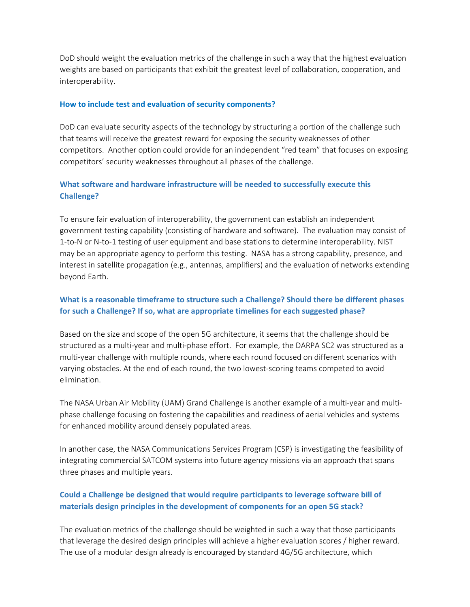DoD should weight the evaluation metrics of the challenge in such a way that the highest evaluation weights are based on participants that exhibit the greatest level of collaboration, cooperation, and interoperability.

#### **How to include test and evaluation of security components?**

DoD can evaluate security aspects of the technology by structuring a portion of the challenge such that teams will receive the greatest reward for exposing the security weaknesses of other competitors. Another option could provide for an independent "red team" that focuses on exposing competitors' security weaknesses throughout all phases of the challenge.

## **What software and hardware infrastructure will be needed to successfully execute this Challenge?**

To ensure fair evaluation of interoperability, the government can establish an independent government testing capability (consisting of hardware and software). The evaluation may consist of 1-to-N or N-to-1 testing of user equipment and base stations to determine interoperability. NIST may be an appropriate agency to perform this testing. NASA has a strong capability, presence, and interest in satellite propagation (e.g., antennas, amplifiers) and the evaluation of networks extending beyond Earth.

## **What is a reasonable timeframe to structure such a Challenge? Should there be different phases for such a Challenge? If so, what are appropriate timelines for each suggested phase?**

Based on the size and scope of the open 5G architecture, it seems that the challenge should be structured as a multi-year and multi-phase effort. For example, the DARPA SC2 was structured as a multi-year challenge with multiple rounds, where each round focused on different scenarios with varying obstacles. At the end of each round, the two lowest-scoring teams competed to avoid elimination.

The NASA Urban Air Mobility (UAM) Grand Challenge is another example of a multi-year and multiphase challenge focusing on fostering the capabilities and readiness of aerial vehicles and systems for enhanced mobility around densely populated areas.

In another case, the NASA Communications Services Program (CSP) is investigating the feasibility of integrating commercial SATCOM systems into future agency missions via an approach that spans three phases and multiple years.

## **Could a Challenge be designed that would require participants to leverage software bill of materials design principles in the development of components for an open 5G stack?**

The evaluation metrics of the challenge should be weighted in such a way that those participants that leverage the desired design principles will achieve a higher evaluation scores / higher reward. The use of a modular design already is encouraged by standard 4G/5G architecture, which